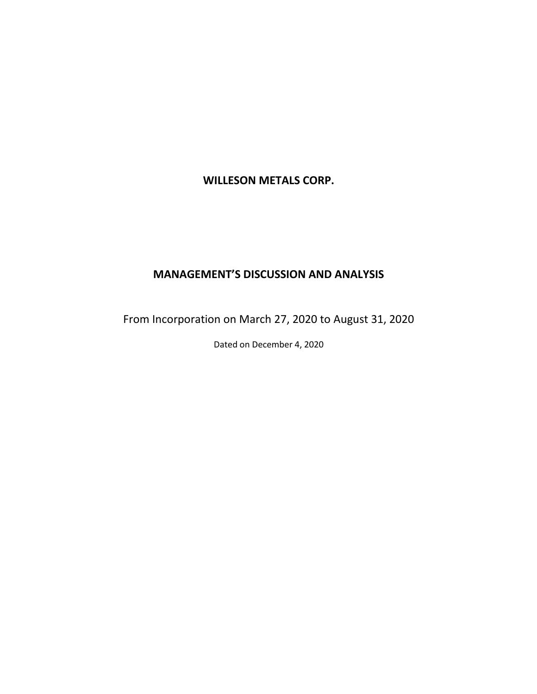# **WILLESON METALS CORP.**

# **MANAGEMENT'S DISCUSSION AND ANALYSIS**

From Incorporation on March 27, 2020 to August 31, 2020

Dated on December 4, 2020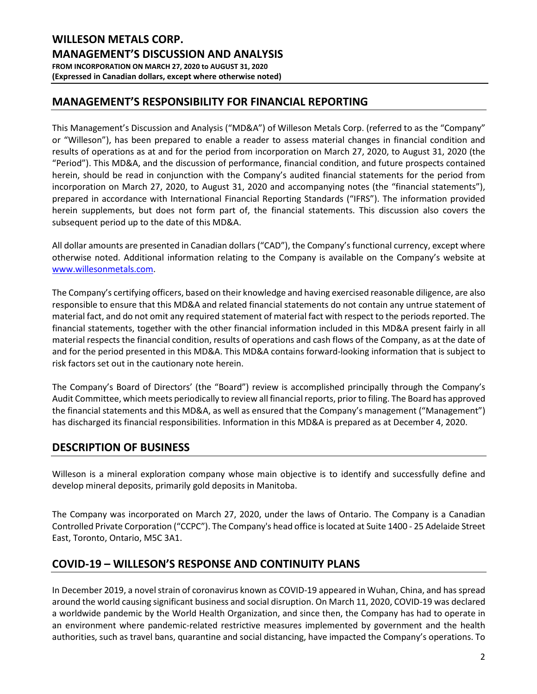# **MANAGEMENT'S RESPONSIBILITY FOR FINANCIAL REPORTING**

This Management's Discussion and Analysis ("MD&A") of Willeson Metals Corp. (referred to as the "Company" or "Willeson"), has been prepared to enable a reader to assess material changes in financial condition and results of operations as at and for the period from incorporation on March 27, 2020, to August 31, 2020 (the "Period"). This MD&A, and the discussion of performance, financial condition, and future prospects contained herein, should be read in conjunction with the Company's audited financial statements for the period from incorporation on March 27, 2020, to August 31, 2020 and accompanying notes (the "financial statements"), prepared in accordance with International Financial Reporting Standards ("IFRS"). The information provided herein supplements, but does not form part of, the financial statements. This discussion also covers the subsequent period up to the date of this MD&A.

All dollar amounts are presented in Canadian dollars ("CAD"), the Company's functional currency, except where otherwise noted. Additional information relating to the Company is available on the Company's website at [www.willesonmetals.com.](http://www.willesonmetals.com/)

The Company's certifying officers, based on their knowledge and having exercised reasonable diligence, are also responsible to ensure that this MD&A and related financial statements do not contain any untrue statement of material fact, and do not omit any required statement of material fact with respect to the periods reported. The financial statements, together with the other financial information included in this MD&A present fairly in all material respects the financial condition, results of operations and cash flows of the Company, as at the date of and for the period presented in this MD&A. This MD&A contains forward-looking information that is subject to risk factors set out in the cautionary note herein.

The Company's Board of Directors' (the "Board") review is accomplished principally through the Company's Audit Committee, which meets periodically to review all financial reports, prior to filing. The Board has approved the financial statements and this MD&A, as well as ensured that the Company's management ("Management") has discharged its financial responsibilities. Information in this MD&A is prepared as at December 4, 2020.

# **DESCRIPTION OF BUSINESS**

Willeson is a mineral exploration company whose main objective is to identify and successfully define and develop mineral deposits, primarily gold deposits in Manitoba.

The Company was incorporated on March 27, 2020, under the laws of Ontario. The Company is a Canadian Controlled Private Corporation ("CCPC"). The Company's head office is located at Suite 1400 - 25 Adelaide Street East, Toronto, Ontario, M5C 3A1.

# **COVID-19 – WILLESON'S RESPONSE AND CONTINUITY PLANS**

In December 2019, a novel strain of coronavirus known as COVID-19 appeared in Wuhan, China, and has spread around the world causing significant business and social disruption. On March 11, 2020, COVID-19 was declared a worldwide pandemic by the World Health Organization, and since then, the Company has had to operate in an environment where pandemic-related restrictive measures implemented by government and the health authorities, such as travel bans, quarantine and social distancing, have impacted the Company's operations. To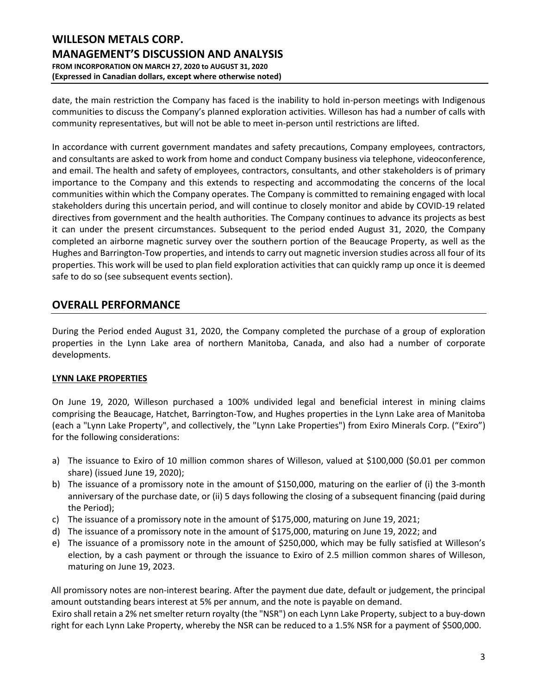date, the main restriction the Company has faced is the inability to hold in-person meetings with Indigenous communities to discuss the Company's planned exploration activities. Willeson has had a number of calls with community representatives, but will not be able to meet in-person until restrictions are lifted.

In accordance with current government mandates and safety precautions, Company employees, contractors, and consultants are asked to work from home and conduct Company business via telephone, videoconference, and email. The health and safety of employees, contractors, consultants, and other stakeholders is of primary importance to the Company and this extends to respecting and accommodating the concerns of the local communities within which the Company operates. The Company is committed to remaining engaged with local stakeholders during this uncertain period, and will continue to closely monitor and abide by COVID-19 related directives from government and the health authorities. The Company continues to advance its projects as best it can under the present circumstances. Subsequent to the period ended August 31, 2020, the Company completed an airborne magnetic survey over the southern portion of the Beaucage Property, as well as the Hughes and Barrington-Tow properties, and intends to carry out magnetic inversion studies across all four of its properties. This work will be used to plan field exploration activities that can quickly ramp up once it is deemed safe to do so (see subsequent events section).

# **OVERALL PERFORMANCE**

During the Period ended August 31, 2020, the Company completed the purchase of a group of exploration properties in the Lynn Lake area of northern Manitoba, Canada, and also had a number of corporate developments.

### **LYNN LAKE PROPERTIES**

On June 19, 2020, Willeson purchased a 100% undivided legal and beneficial interest in mining claims comprising the Beaucage, Hatchet, Barrington-Tow, and Hughes properties in the Lynn Lake area of Manitoba (each a "Lynn Lake Property", and collectively, the "Lynn Lake Properties") from Exiro Minerals Corp. ("Exiro") for the following considerations:

- a) The issuance to Exiro of 10 million common shares of Willeson, valued at \$100,000 (\$0.01 per common share) (issued June 19, 2020);
- b) The issuance of a promissory note in the amount of \$150,000, maturing on the earlier of (i) the 3-month anniversary of the purchase date, or (ii) 5 days following the closing of a subsequent financing (paid during the Period);
- c) The issuance of a promissory note in the amount of \$175,000, maturing on June 19, 2021;
- d) The issuance of a promissory note in the amount of \$175,000, maturing on June 19, 2022; and
- e) The issuance of a promissory note in the amount of \$250,000, which may be fully satisfied at Willeson's election, by a cash payment or through the issuance to Exiro of 2.5 million common shares of Willeson, maturing on June 19, 2023.

All promissory notes are non-interest bearing. After the payment due date, default or judgement, the principal amount outstanding bears interest at 5% per annum, and the note is payable on demand.

Exiro shall retain a 2% net smelter return royalty (the "NSR") on each Lynn Lake Property, subject to a buy-down right for each Lynn Lake Property, whereby the NSR can be reduced to a 1.5% NSR for a payment of \$500,000.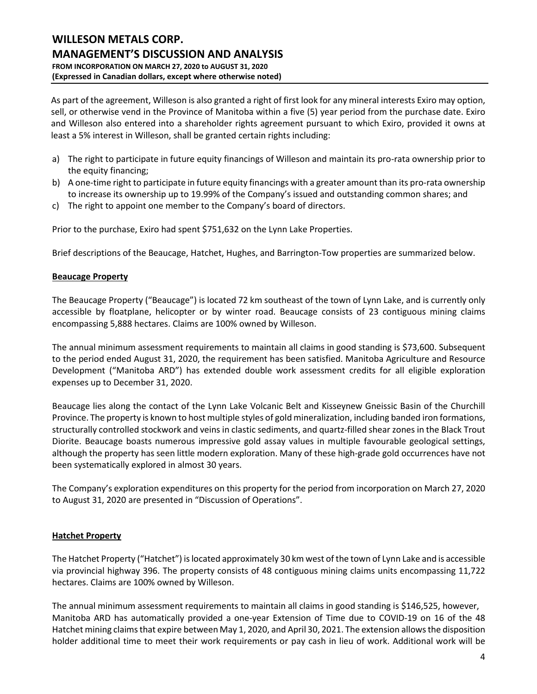As part of the agreement, Willeson is also granted a right of first look for any mineral interests Exiro may option, sell, or otherwise vend in the Province of Manitoba within a five (5) year period from the purchase date. Exiro and Willeson also entered into a shareholder rights agreement pursuant to which Exiro, provided it owns at least a 5% interest in Willeson, shall be granted certain rights including:

- a) The right to participate in future equity financings of Willeson and maintain its pro-rata ownership prior to the equity financing;
- b) A one-time right to participate in future equity financings with a greater amount than its pro-rata ownership to increase its ownership up to 19.99% of the Company's issued and outstanding common shares; and
- c) The right to appoint one member to the Company's board of directors.

Prior to the purchase, Exiro had spent \$751,632 on the Lynn Lake Properties.

Brief descriptions of the Beaucage, Hatchet, Hughes, and Barrington-Tow properties are summarized below.

### **Beaucage Property**

The Beaucage Property ("Beaucage") is located 72 km southeast of the town of Lynn Lake, and is currently only accessible by floatplane, helicopter or by winter road. Beaucage consists of 23 contiguous mining claims encompassing 5,888 hectares. Claims are 100% owned by Willeson.

The annual minimum assessment requirements to maintain all claims in good standing is \$73,600. Subsequent to the period ended August 31, 2020, the requirement has been satisfied. Manitoba Agriculture and Resource Development ("Manitoba ARD") has extended double work assessment credits for all eligible exploration expenses up to December 31, 2020.

Beaucage lies along the contact of the Lynn Lake Volcanic Belt and Kisseynew Gneissic Basin of the Churchill Province. The property is known to host multiple styles of gold mineralization, including banded iron formations, structurally controlled stockwork and veins in clastic sediments, and quartz-filled shear zones in the Black Trout Diorite. Beaucage boasts numerous impressive gold assay values in multiple favourable geological settings, although the property has seen little modern exploration. Many of these high-grade gold occurrences have not been systematically explored in almost 30 years.

The Company's exploration expenditures on this property for the period from incorporation on March 27, 2020 to August 31, 2020 are presented in "Discussion of Operations".

### **Hatchet Property**

The Hatchet Property ("Hatchet") is located approximately 30 km west of the town of Lynn Lake and is accessible via provincial highway 396. The property consists of 48 contiguous mining claims units encompassing 11,722 hectares. Claims are 100% owned by Willeson.

The annual minimum assessment requirements to maintain all claims in good standing is \$146,525, however, Manitoba ARD has automatically provided a one-year Extension of Time due to COVID-19 on 16 of the 48 Hatchet mining claims that expire between May 1, 2020, and April 30, 2021. The extension allows the disposition holder additional time to meet their work requirements or pay cash in lieu of work. Additional work will be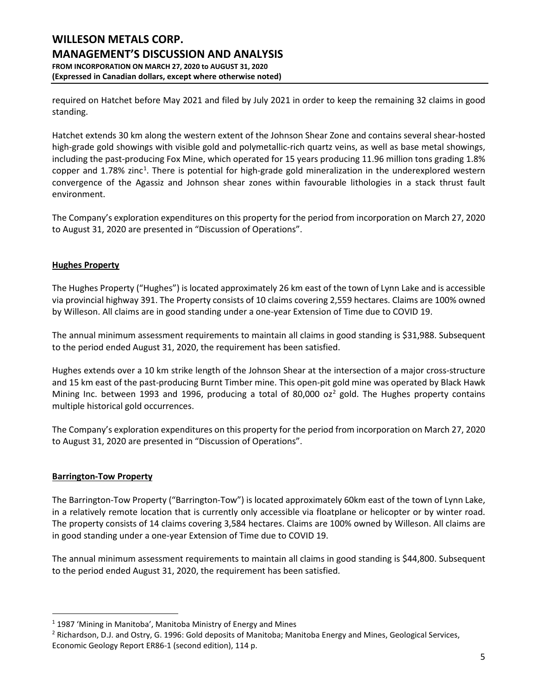required on Hatchet before May 2021 and filed by July 2021 in order to keep the remaining 32 claims in good standing.

Hatchet extends 30 km along the western extent of the Johnson Shear Zone and contains several shear-hosted high-grade gold showings with visible gold and polymetallic-rich quartz veins, as well as base metal showings, including the past-producing Fox Mine, which operated for 15 years producing 11.96 million tons grading 1.8% copper and [1](#page-4-0).78% zinc<sup>1</sup>. There is potential for high-grade gold mineralization in the underexplored western convergence of the Agassiz and Johnson shear zones within favourable lithologies in a stack thrust fault environment.

The Company's exploration expenditures on this property for the period from incorporation on March 27, 2020 to August 31, 2020 are presented in "Discussion of Operations".

### **Hughes Property**

The Hughes Property ("Hughes") is located approximately 26 km east of the town of Lynn Lake and is accessible via provincial highway 391. The Property consists of 10 claims covering 2,559 hectares. Claims are 100% owned by Willeson. All claims are in good standing under a one-year Extension of Time due to COVID 19.

The annual minimum assessment requirements to maintain all claims in good standing is \$31,988. Subsequent to the period ended August 31, 2020, the requirement has been satisfied.

Hughes extends over a 10 km strike length of the Johnson Shear at the intersection of a major cross-structure and 15 km east of the past-producing Burnt Timber mine. This open-pit gold mine was operated by Black Hawk Mining Inc. between 1993 and 1996, producing a total of 80,000 oz<sup>[2](#page-4-1)</sup> gold. The Hughes property contains multiple historical gold occurrences.

The Company's exploration expenditures on this property for the period from incorporation on March 27, 2020 to August 31, 2020 are presented in "Discussion of Operations".

### **Barrington-Tow Property**

The Barrington-Tow Property ("Barrington-Tow") is located approximately 60km east of the town of Lynn Lake, in a relatively remote location that is currently only accessible via floatplane or helicopter or by winter road. The property consists of 14 claims covering 3,584 hectares. Claims are 100% owned by Willeson. All claims are in good standing under a one-year Extension of Time due to COVID 19.

The annual minimum assessment requirements to maintain all claims in good standing is \$44,800. Subsequent to the period ended August 31, 2020, the requirement has been satisfied.

<span id="page-4-0"></span> $1$  1987 'Mining in Manitoba', Manitoba Ministry of Energy and Mines

<span id="page-4-1"></span><sup>&</sup>lt;sup>2</sup> Richardson, D.J. and Ostry, G. 1996: Gold deposits of Manitoba; Manitoba Energy and Mines, Geological Services, Economic Geology Report ER86-1 (second edition), 114 p.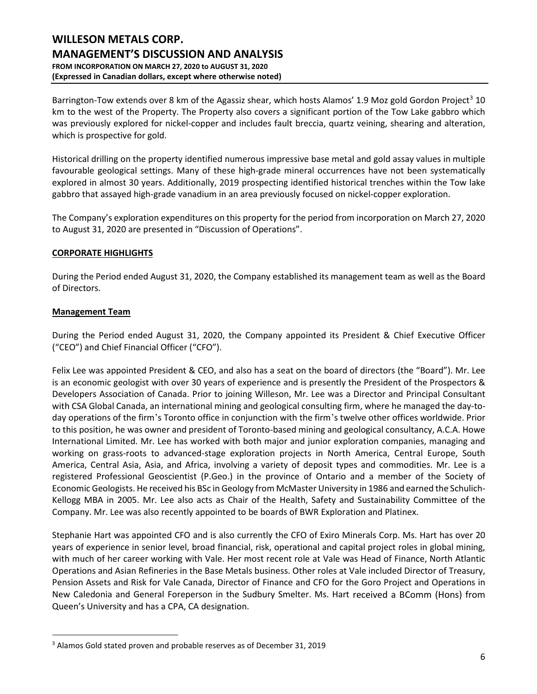Barrington-Tow extends over 8 km of the Agassiz shear, which hosts Alamos' 1.9 Moz gold Gordon Project<sup>[3](#page-5-0)</sup> 10 km to the west of the Property. The Property also covers a significant portion of the Tow Lake gabbro which was previously explored for nickel-copper and includes fault breccia, quartz veining, shearing and alteration, which is prospective for gold.

Historical drilling on the property identified numerous impressive base metal and gold assay values in multiple favourable geological settings. Many of these high-grade mineral occurrences have not been systematically explored in almost 30 years. Additionally, 2019 prospecting identified historical trenches within the Tow lake gabbro that assayed high-grade vanadium in an area previously focused on nickel-copper exploration.

The Company's exploration expenditures on this property for the period from incorporation on March 27, 2020 to August 31, 2020 are presented in "Discussion of Operations".

### **CORPORATE HIGHLIGHTS**

During the Period ended August 31, 2020, the Company established its management team as well as the Board of Directors.

### **Management Team**

During the Period ended August 31, 2020, the Company appointed its President & Chief Executive Officer ("CEO") and Chief Financial Officer ("CFO").

Felix Lee was appointed President & CEO, and also has a seat on the board of directors (the "Board"). Mr. Lee is an economic geologist with over 30 years of experience and is presently the President of the Prospectors & Developers Association of Canada. Prior to joining Willeson, Mr. Lee was a Director and Principal Consultant with CSA Global Canada, an international mining and geological consulting firm, where he managed the day-today operations of the firm's Toronto office in conjunction with the firm's twelve other offices worldwide. Prior to this position, he was owner and president of Toronto-based mining and geological consultancy, A.C.A. Howe International Limited. Mr. Lee has worked with both major and junior exploration companies, managing and working on grass-roots to advanced-stage exploration projects in North America, Central Europe, South America, Central Asia, Asia, and Africa, involving a variety of deposit types and commodities. Mr. Lee is a registered Professional Geoscientist (P.Geo.) in the province of Ontario and a member of the Society of Economic Geologists. He received his BSc in Geology from McMaster University in 1986 and earned the Schulich-Kellogg MBA in 2005. Mr. Lee also acts as Chair of the Health, Safety and Sustainability Committee of the Company. Mr. Lee was also recently appointed to be boards of BWR Exploration and Platinex.

Stephanie Hart was appointed CFO and is also currently the CFO of Exiro Minerals Corp. Ms. Hart has over 20 years of experience in senior level, broad financial, risk, operational and capital project roles in global mining, with much of her career working with Vale. Her most recent role at Vale was Head of Finance, North Atlantic Operations and Asian Refineries in the Base Metals business. Other roles at Vale included Director of Treasury, Pension Assets and Risk for Vale Canada, Director of Finance and CFO for the Goro Project and Operations in New Caledonia and General Foreperson in the Sudbury Smelter. Ms. Hart received a BComm (Hons) from Queen's University and has a CPA, CA designation.

<span id="page-5-0"></span><sup>&</sup>lt;sup>3</sup> Alamos Gold stated proven and probable reserves as of December 31, 2019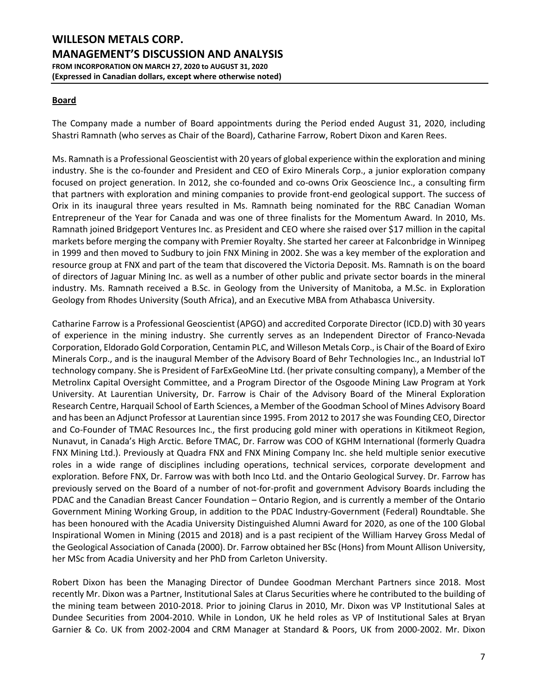### **Board**

The Company made a number of Board appointments during the Period ended August 31, 2020, including Shastri Ramnath (who serves as Chair of the Board), Catharine Farrow, Robert Dixon and Karen Rees.

Ms. Ramnath is a Professional Geoscientist with 20 years of global experience within the exploration and mining industry. She is the co-founder and President and CEO of Exiro Minerals Corp., a junior exploration company focused on project generation. In 2012, she co-founded and co-owns Orix Geoscience Inc., a consulting firm that partners with exploration and mining companies to provide front-end geological support. The success of Orix in its inaugural three years resulted in Ms. Ramnath being nominated for the RBC Canadian Woman Entrepreneur of the Year for Canada and was one of three finalists for the Momentum Award. In 2010, Ms. Ramnath joined Bridgeport Ventures Inc. as President and CEO where she raised over \$17 million in the capital markets before merging the company with Premier Royalty. She started her career at Falconbridge in Winnipeg in 1999 and then moved to Sudbury to join FNX Mining in 2002. She was a key member of the exploration and resource group at FNX and part of the team that discovered the Victoria Deposit. Ms. Ramnath is on the board of directors of Jaguar Mining Inc. as well as a number of other public and private sector boards in the mineral industry. Ms. Ramnath received a B.Sc. in Geology from the University of Manitoba, a M.Sc. in Exploration Geology from Rhodes University (South Africa), and an Executive MBA from Athabasca University.

Catharine Farrow is a Professional Geoscientist (APGO) and accredited Corporate Director (ICD.D) with 30 years of experience in the mining industry. She currently serves as an Independent Director of Franco-Nevada Corporation, Eldorado Gold Corporation, Centamin PLC, and Willeson Metals Corp., is Chair of the Board of Exiro Minerals Corp., and is the inaugural Member of the Advisory Board of Behr Technologies Inc., an Industrial IoT technology company. She is President of FarExGeoMine Ltd. (her private consulting company), a Member of the Metrolinx Capital Oversight Committee, and a Program Director of the Osgoode Mining Law Program at York University. At Laurentian University, Dr. Farrow is Chair of the Advisory Board of the Mineral Exploration Research Centre, Harquail School of Earth Sciences, a Member of the Goodman School of Mines Advisory Board and has been an Adjunct Professor at Laurentian since 1995. From 2012 to 2017 she was Founding CEO, Director and Co-Founder of TMAC Resources Inc., the first producing gold miner with operations in Kitikmeot Region, Nunavut, in Canada's High Arctic. Before TMAC, Dr. Farrow was COO of KGHM International (formerly Quadra FNX Mining Ltd.). Previously at Quadra FNX and FNX Mining Company Inc. she held multiple senior executive roles in a wide range of disciplines including operations, technical services, corporate development and exploration. Before FNX, Dr. Farrow was with both Inco Ltd. and the Ontario Geological Survey. Dr. Farrow has previously served on the Board of a number of not-for-profit and government Advisory Boards including the PDAC and the Canadian Breast Cancer Foundation – Ontario Region, and is currently a member of the Ontario Government Mining Working Group, in addition to the PDAC Industry-Government (Federal) Roundtable. She has been honoured with the Acadia University Distinguished Alumni Award for 2020, as one of the 100 Global Inspirational Women in Mining (2015 and 2018) and is a past recipient of the William Harvey Gross Medal of the Geological Association of Canada (2000). Dr. Farrow obtained her BSc (Hons) from Mount Allison University, her MSc from Acadia University and her PhD from Carleton University.

Robert Dixon has been the Managing Director of Dundee Goodman Merchant Partners since 2018. Most recently Mr. Dixon was a Partner, Institutional Sales at Clarus Securities where he contributed to the building of the mining team between 2010-2018. Prior to joining Clarus in 2010, Mr. Dixon was VP Institutional Sales at Dundee Securities from 2004-2010. While in London, UK he held roles as VP of Institutional Sales at Bryan Garnier & Co. UK from 2002-2004 and CRM Manager at Standard & Poors, UK from 2000-2002. Mr. Dixon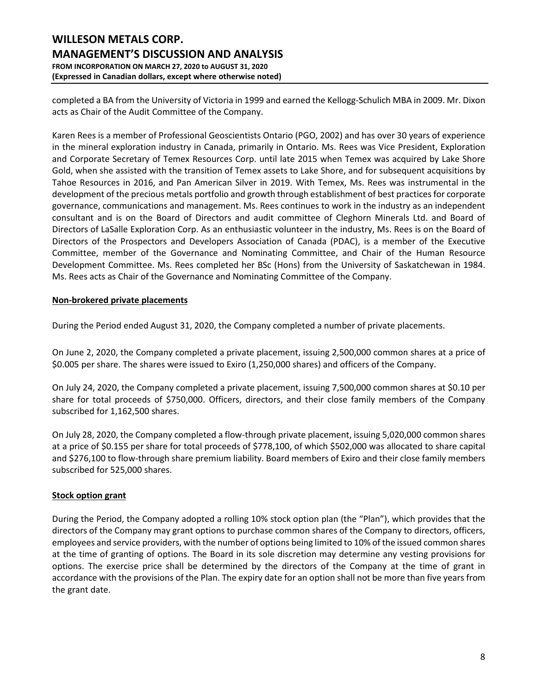completed a BA from the University of Victoria in 1999 and earned the Kellogg-Schulich MBA in 2009. Mr. Dixon acts as Chair of the Audit Committee of the Company.

Karen Rees is a member of Professional Geoscientists Ontario (PGO, 2002) and has over 30 years of experience in the mineral exploration industry in Canada, primarily in Ontario. Ms. Rees was Vice President, Exploration and Corporate Secretary of Temex Resources Corp. until late 2015 when Temex was acquired by Lake Shore Gold, when she assisted with the transition of Temex assets to Lake Shore, and for subsequent acquisitions by Tahoe Resources in 2016, and Pan American Silver in 2019. With Temex, Ms. Rees was instrumental in the development of the precious metals portfolio and growth through establishment of best practices for corporate governance, communications and management. Ms. Rees continues to work in the industry as an independent consultant and is on the Board of Directors and audit committee of Cleghorn Minerals Ltd. and Board of Directors of LaSalle Exploration Corp. As an enthusiastic volunteer in the industry, Ms. Rees is on the Board of Directors of the Prospectors and Developers Association of Canada (PDAC), is a member of the Executive Committee, member of the Governance and Nominating Committee, and Chair of the Human Resource Development Committee. Ms. Rees completed her BSc (Hons) from the University of Saskatchewan in 1984. Ms. Rees acts as Chair of the Governance and Nominating Committee of the Company.

### **Non-brokered private placements**

During the Period ended August 31, 2020, the Company completed a number of private placements.

On June 2, 2020, the Company completed a private placement, issuing 2,500,000 common shares at a price of \$0.005 per share. The shares were issued to Exiro (1,250,000 shares) and officers of the Company.

On July 24, 2020, the Company completed a private placement, issuing 7,500,000 common shares at \$0.10 per share for total proceeds of \$750,000. Officers, directors, and their close family members of the Company subscribed for 1,162,500 shares.

On July 28, 2020, the Company completed a flow-through private placement, issuing 5,020,000 common shares at a price of \$0.155 per share for total proceeds of \$778,100, of which \$502,000 was allocated to share capital and \$276,100 to flow-through share premium liability. Board members of Exiro and their close family members subscribed for 525,000 shares.

### **Stock option grant**

During the Period, the Company adopted a rolling 10% stock option plan (the "Plan"), which provides that the directors of the Company may grant options to purchase common shares of the Company to directors, officers, employees and service providers, with the number of options being limited to 10% of the issued common shares at the time of granting of options. The Board in its sole discretion may determine any vesting provisions for options. The exercise price shall be determined by the directors of the Company at the time of grant in accordance with the provisions of the Plan. The expiry date for an option shall not be more than five years from the grant date.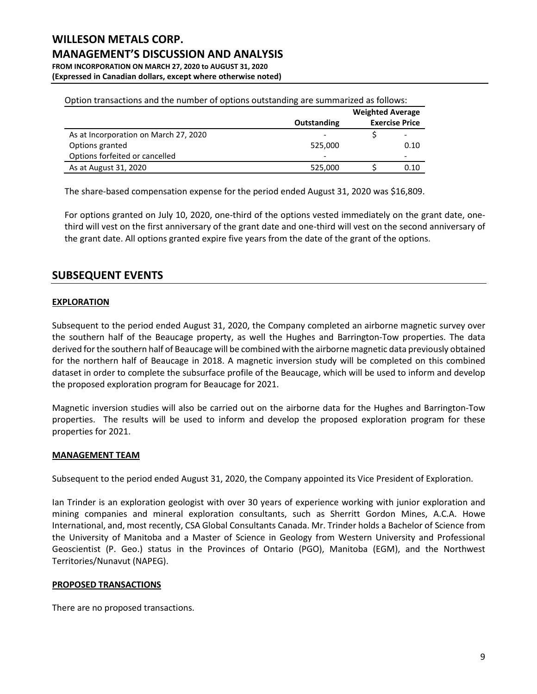# **WILLESON METALS CORP. MANAGEMENT'S DISCUSSION AND ANALYSIS FROM INCORPORATION ON MARCH 27, 2020 to AUGUST 31, 2020**

**(Expressed in Canadian dollars, except where otherwise noted)**

|                                       |             | <b>Weighted Average</b> |      |
|---------------------------------------|-------------|-------------------------|------|
|                                       | Outstanding | <b>Exercise Price</b>   |      |
| As at Incorporation on March 27, 2020 |             |                         |      |
| Options granted                       | 525,000     |                         | 0.10 |
| Options forfeited or cancelled        |             |                         |      |
| As at August 31, 2020                 | 525,000     |                         | 0.10 |

Option transactions and the number of options outstanding are summarized as follows:

The share-based compensation expense for the period ended August 31, 2020 was \$16,809.

For options granted on July 10, 2020, one-third of the options vested immediately on the grant date, onethird will vest on the first anniversary of the grant date and one-third will vest on the second anniversary of the grant date. All options granted expire five years from the date of the grant of the options.

## **SUBSEQUENT EVENTS**

#### **EXPLORATION**

Subsequent to the period ended August 31, 2020, the Company completed an airborne magnetic survey over the southern half of the Beaucage property, as well the Hughes and Barrington-Tow properties. The data derived for the southern half of Beaucage will be combined with the airborne magnetic data previously obtained for the northern half of Beaucage in 2018. A magnetic inversion study will be completed on this combined dataset in order to complete the subsurface profile of the Beaucage, which will be used to inform and develop the proposed exploration program for Beaucage for 2021.

Magnetic inversion studies will also be carried out on the airborne data for the Hughes and Barrington-Tow properties. The results will be used to inform and develop the proposed exploration program for these properties for 2021.

### **MANAGEMENT TEAM**

Subsequent to the period ended August 31, 2020, the Company appointed its Vice President of Exploration.

Ian Trinder is an exploration geologist with over 30 years of experience working with junior exploration and mining companies and mineral exploration consultants, such as Sherritt Gordon Mines, A.C.A. Howe International, and, most recently, CSA Global Consultants Canada. Mr. Trinder holds a Bachelor of Science from the University of Manitoba and a Master of Science in Geology from Western University and Professional Geoscientist (P. Geo.) status in the Provinces of Ontario (PGO), Manitoba (EGM), and the Northwest Territories/Nunavut (NAPEG).

#### **PROPOSED TRANSACTIONS**

There are no proposed transactions.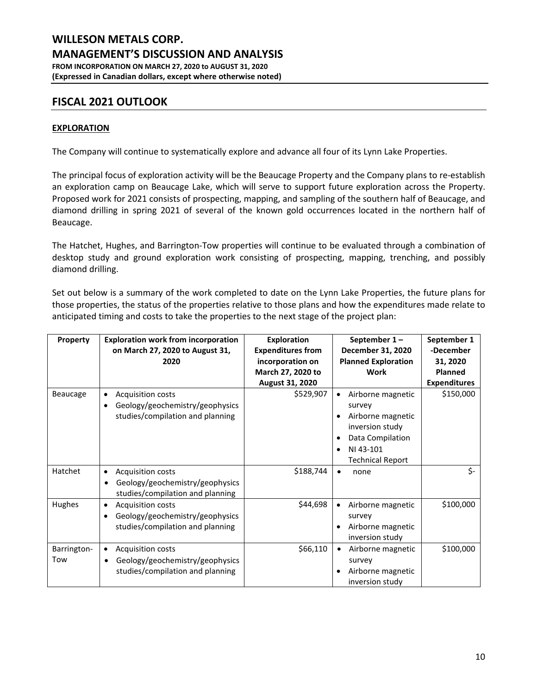## **FISCAL 2021 OUTLOOK**

### **EXPLORATION**

The Company will continue to systematically explore and advance all four of its Lynn Lake Properties.

The principal focus of exploration activity will be the Beaucage Property and the Company plans to re-establish an exploration camp on Beaucage Lake, which will serve to support future exploration across the Property. Proposed work for 2021 consists of prospecting, mapping, and sampling of the southern half of Beaucage, and diamond drilling in spring 2021 of several of the known gold occurrences located in the northern half of Beaucage.

The Hatchet, Hughes, and Barrington-Tow properties will continue to be evaluated through a combination of desktop study and ground exploration work consisting of prospecting, mapping, trenching, and possibly diamond drilling.

Set out below is a summary of the work completed to date on the Lynn Lake Properties, the future plans for those properties, the status of the properties relative to those plans and how the expenditures made relate to anticipated timing and costs to take the properties to the next stage of the project plan:

| Property    | <b>Exploration work from incorporation</b>   | <b>Exploration</b>       | September 1-                   | September 1         |
|-------------|----------------------------------------------|--------------------------|--------------------------------|---------------------|
|             | on March 27, 2020 to August 31,              | <b>Expenditures from</b> | December 31, 2020              | -December           |
|             | 2020                                         | incorporation on         | <b>Planned Exploration</b>     | 31, 2020            |
|             |                                              | March 27, 2020 to        | Work                           | <b>Planned</b>      |
|             |                                              | <b>August 31, 2020</b>   |                                | <b>Expenditures</b> |
| Beaucage    | <b>Acquisition costs</b><br>٠                | \$529,907                | Airborne magnetic              | \$150,000           |
|             | Geology/geochemistry/geophysics              |                          | survey                         |                     |
|             | studies/compilation and planning             |                          | Airborne magnetic              |                     |
|             |                                              |                          | inversion study                |                     |
|             |                                              |                          | Data Compilation               |                     |
|             |                                              |                          | NI 43-101                      |                     |
|             |                                              |                          | <b>Technical Report</b>        |                     |
| Hatchet     | <b>Acquisition costs</b>                     | \$188,744                | none<br>٠                      | \$-                 |
|             | Geology/geochemistry/geophysics              |                          |                                |                     |
|             | studies/compilation and planning             |                          |                                |                     |
| Hughes      | Acquisition costs<br>$\bullet$               | \$44,698                 | Airborne magnetic<br>$\bullet$ | \$100,000           |
|             | Geology/geochemistry/geophysics<br>$\bullet$ |                          | survey                         |                     |
|             | studies/compilation and planning             |                          | Airborne magnetic              |                     |
|             |                                              |                          | inversion study                |                     |
| Barrington- | <b>Acquisition costs</b><br>$\bullet$        | \$66,110                 | Airborne magnetic<br>$\bullet$ | \$100,000           |
| Tow         | Geology/geochemistry/geophysics<br>٠         |                          | survey                         |                     |
|             | studies/compilation and planning             |                          | Airborne magnetic              |                     |
|             |                                              |                          | inversion study                |                     |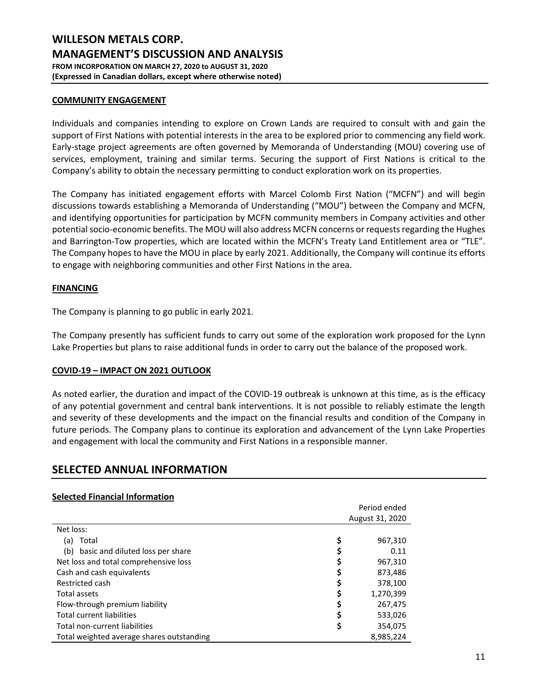#### **COMMUNITY ENGAGEMENT**

Individuals and companies intending to explore on Crown Lands are required to consult with and gain the support of First Nations with potential interests in the area to be explored prior to commencing any field work. Early-stage project agreements are often governed by Memoranda of Understanding (MOU) covering use of services, employment, training and similar terms. Securing the support of First Nations is critical to the Company's ability to obtain the necessary permitting to conduct exploration work on its properties.

The Company has initiated engagement efforts with Marcel Colomb First Nation ("MCFN") and will begin discussions towards establishing a Memoranda of Understanding ("MOU") between the Company and MCFN, and identifying opportunities for participation by MCFN community members in Company activities and other potential socio-economic benefits. The MOU will also address MCFN concerns or requests regarding the Hughes and Barrington-Tow properties, which are located within the MCFN's Treaty Land Entitlement area or "TLE". The Company hopes to have the MOU in place by early 2021. Additionally, the Company will continue its efforts to engage with neighboring communities and other First Nations in the area.

#### **FINANCING**

The Company is planning to go public in early 2021.

The Company presently has sufficient funds to carry out some of the exploration work proposed for the Lynn Lake Properties but plans to raise additional funds in order to carry out the balance of the proposed work.

### **COVID-19 – IMPACT ON 2021 OUTLOOK**

As noted earlier, the duration and impact of the COVID-19 outbreak is unknown at this time, as is the efficacy of any potential government and central bank interventions. It is not possible to reliably estimate the length and severity of these developments and the impact on the financial results and condition of the Company in future periods. The Company plans to continue its exploration and advancement of the Lynn Lake Properties and engagement with local the community and First Nations in a responsible manner.

### **SELECTED ANNUAL INFORMATION**

### **Selected Financial Information**

|                                           | Period ended    |           |  |
|-------------------------------------------|-----------------|-----------|--|
|                                           | August 31, 2020 |           |  |
| Net loss:                                 |                 |           |  |
| Total<br>(a)                              | \$              | 967,310   |  |
| (b) basic and diluted loss per share      | Ş               | 0.11      |  |
| Net loss and total comprehensive loss     | \$              | 967,310   |  |
| Cash and cash equivalents                 | \$              | 873,486   |  |
| Restricted cash                           | \$              | 378,100   |  |
| <b>Total assets</b>                       | \$              | 1,270,399 |  |
| Flow-through premium liability            | \$              | 267,475   |  |
| <b>Total current liabilities</b>          | \$              | 533,026   |  |
| Total non-current liabilities             | \$              | 354,075   |  |
| Total weighted average shares outstanding |                 | 8.985.224 |  |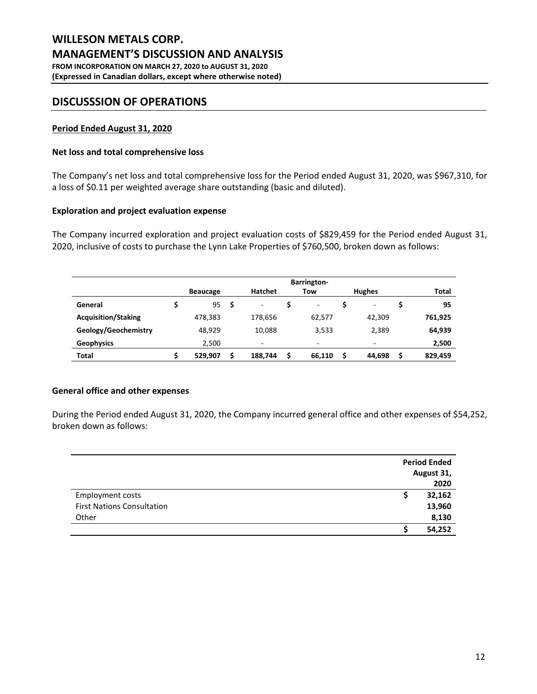### **DISCUSSSION OF OPERATIONS**

#### **Period Ended August 31, 2020**

#### **Net loss and total comprehensive loss**

The Company's net loss and total comprehensive loss for the Period ended August 31, 2020, was \$967,310, for a loss of \$0.11 per weighted average share outstanding (basic and diluted).

#### **Exploration and project evaluation expense**

The Company incurred exploration and project evaluation costs of \$829,459 for the Period ended August 31, 2020, inclusive of costs to purchase the Lynn Lake Properties of \$760,500, broken down as follows:

|                            | <b>Barrington-</b> |                 |   |                |   |        |  |               |   |         |
|----------------------------|--------------------|-----------------|---|----------------|---|--------|--|---------------|---|---------|
|                            |                    | <b>Beaucage</b> |   | <b>Hatchet</b> |   | Tow    |  | <b>Hughes</b> |   | Total   |
| General                    |                    | 95              | S | ۰              |   | ۰      |  | ۰             |   | 95      |
| <b>Acquisition/Staking</b> |                    | 478,383         |   | 178,656        |   | 62,577 |  | 42,309        |   | 761,925 |
| Geology/Geochemistry       |                    | 48,929          |   | 10,088         |   | 3,533  |  | 2,389         |   | 64,939  |
| <b>Geophysics</b>          |                    | 2,500           |   | ۰              |   | ۰      |  |               |   | 2,500   |
| Total                      |                    | 529,907         |   | 188,744        | Ś | 66,110 |  | 44,698        | Ś | 829,459 |

#### **General office and other expenses**

During the Period ended August 31, 2020, the Company incurred general office and other expenses of \$54,252, broken down as follows:

|                                   | <b>Period Ended</b> |            |
|-----------------------------------|---------------------|------------|
|                                   |                     | August 31, |
|                                   |                     | 2020       |
| <b>Employment costs</b>           |                     | 32,162     |
| <b>First Nations Consultation</b> |                     | 13,960     |
| Other                             |                     | 8,130      |
|                                   |                     | 54,252     |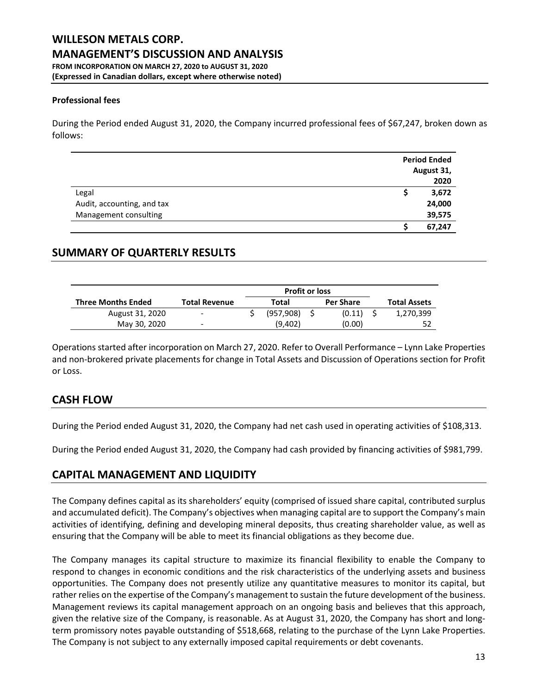# **(Expressed in Canadian dollars, except where otherwise noted)**

#### **Professional fees**

During the Period ended August 31, 2020, the Company incurred professional fees of \$67,247, broken down as follows:

|                            | <b>Period Ended</b> |
|----------------------------|---------------------|
|                            | August 31,          |
|                            | 2020                |
| Legal                      | 3,672               |
| Audit, accounting, and tax | 24,000              |
| Management consulting      | 39,575              |
|                            | 67,247              |

## **SUMMARY OF QUARTERLY RESULTS**

|                           |                      | <b>Profit or loss</b> |                  |                     |
|---------------------------|----------------------|-----------------------|------------------|---------------------|
| <b>Three Months Ended</b> | <b>Total Revenue</b> | Total                 | <b>Per Share</b> | <b>Total Assets</b> |
| August 31, 2020           | $\sim$               | (957, 908)            | (0.11)           | 1,270,399           |
| May 30, 2020              | -                    | (9,402)               | (0.00)           |                     |

Operations started after incorporation on March 27, 2020. Refer to Overall Performance – Lynn Lake Properties and non-brokered private placements for change in Total Assets and Discussion of Operations section for Profit or Loss.

### **CASH FLOW**

During the Period ended August 31, 2020, the Company had net cash used in operating activities of \$108,313.

During the Period ended August 31, 2020, the Company had cash provided by financing activities of \$981,799.

## **CAPITAL MANAGEMENT AND LIQUIDITY**

The Company defines capital as its shareholders' equity (comprised of issued share capital, contributed surplus and accumulated deficit). The Company's objectives when managing capital are to support the Company's main activities of identifying, defining and developing mineral deposits, thus creating shareholder value, as well as ensuring that the Company will be able to meet its financial obligations as they become due.

The Company manages its capital structure to maximize its financial flexibility to enable the Company to respond to changes in economic conditions and the risk characteristics of the underlying assets and business opportunities. The Company does not presently utilize any quantitative measures to monitor its capital, but rather relies on the expertise of the Company's management to sustain the future development of the business. Management reviews its capital management approach on an ongoing basis and believes that this approach, given the relative size of the Company, is reasonable. As at August 31, 2020, the Company has short and longterm promissory notes payable outstanding of \$518,668, relating to the purchase of the Lynn Lake Properties. The Company is not subject to any externally imposed capital requirements or debt covenants.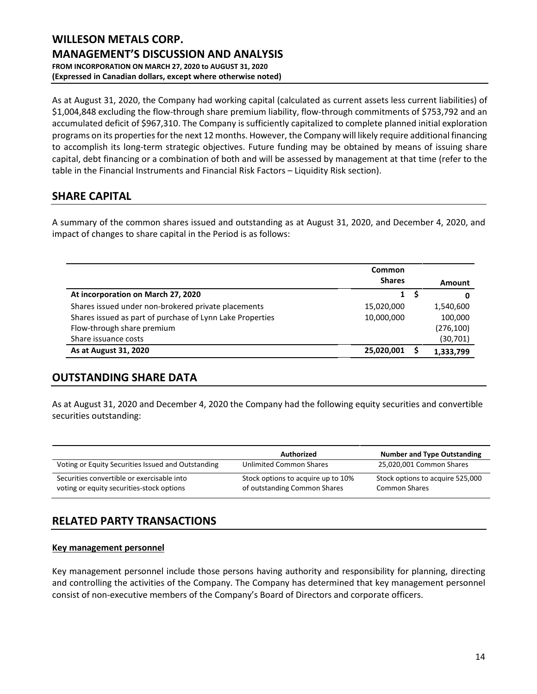As at August 31, 2020, the Company had working capital (calculated as current assets less current liabilities) of \$1,004,848 excluding the flow-through share premium liability, flow-through commitments of \$753,792 and an accumulated deficit of \$967,310. The Company is sufficiently capitalized to complete planned initial exploration programs on its properties for the next 12 months. However, the Company will likely require additional financing to accomplish its long-term strategic objectives. Future funding may be obtained by means of issuing share capital, debt financing or a combination of both and will be assessed by management at that time (refer to the table in the Financial Instruments and Financial Risk Factors – Liquidity Risk section).

# **SHARE CAPITAL**

A summary of the common shares issued and outstanding as at August 31, 2020, and December 4, 2020, and impact of changes to share capital in the Period is as follows:

|                                                           | Common<br><b>Shares</b> | Amount     |
|-----------------------------------------------------------|-------------------------|------------|
| At incorporation on March 27, 2020                        | $\mathbf{1}$            | 0          |
| Shares issued under non-brokered private placements       | 15,020,000              | 1,540,600  |
| Shares issued as part of purchase of Lynn Lake Properties | 10,000,000              | 100,000    |
| Flow-through share premium                                |                         | (276, 100) |
| Share issuance costs                                      |                         | (30, 701)  |
| As at August 31, 2020                                     | 25,020,001              | 1,333,799  |

# **OUTSTANDING SHARE DATA**

As at August 31, 2020 and December 4, 2020 the Company had the following equity securities and convertible securities outstanding:

|                                                                                         | Authorized                                                         | <b>Number and Type Outstanding</b>                       |
|-----------------------------------------------------------------------------------------|--------------------------------------------------------------------|----------------------------------------------------------|
| Voting or Equity Securities Issued and Outstanding                                      | Unlimited Common Shares                                            | 25,020,001 Common Shares                                 |
| Securities convertible or exercisable into<br>voting or equity securities-stock options | Stock options to acquire up to 10%<br>of outstanding Common Shares | Stock options to acquire 525,000<br><b>Common Shares</b> |

# **RELATED PARTY TRANSACTIONS**

### **Key management personnel**

Key management personnel include those persons having authority and responsibility for planning, directing and controlling the activities of the Company. The Company has determined that key management personnel consist of non-executive members of the Company's Board of Directors and corporate officers.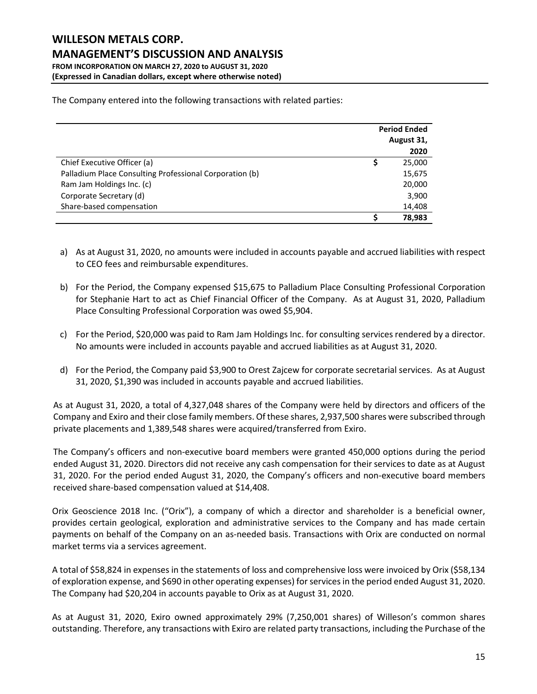**(Expressed in Canadian dollars, except where otherwise noted)**

|                                                         | <b>Period Ended</b> |            |  |
|---------------------------------------------------------|---------------------|------------|--|
|                                                         |                     | August 31, |  |
|                                                         |                     | 2020       |  |
| Chief Executive Officer (a)                             |                     | 25,000     |  |
| Palladium Place Consulting Professional Corporation (b) |                     | 15,675     |  |
| Ram Jam Holdings Inc. (c)                               |                     | 20,000     |  |
| Corporate Secretary (d)                                 |                     | 3,900      |  |
| Share-based compensation                                |                     | 14,408     |  |
|                                                         |                     | 78,983     |  |

The Company entered into the following transactions with related parties:

- a) As at August 31, 2020, no amounts were included in accounts payable and accrued liabilities with respect to CEO fees and reimbursable expenditures.
- b) For the Period, the Company expensed \$15,675 to Palladium Place Consulting Professional Corporation for Stephanie Hart to act as Chief Financial Officer of the Company. As at August 31, 2020, Palladium Place Consulting Professional Corporation was owed \$5,904.
- c) For the Period, \$20,000 was paid to Ram Jam Holdings Inc. for consulting services rendered by a director. No amounts were included in accounts payable and accrued liabilities as at August 31, 2020.
- d) For the Period, the Company paid \$3,900 to Orest Zajcew for corporate secretarial services. As at August 31, 2020, \$1,390 was included in accounts payable and accrued liabilities.

As at August 31, 2020, a total of 4,327,048 shares of the Company were held by directors and officers of the Company and Exiro and their close family members. Of these shares, 2,937,500 shares were subscribed through private placements and 1,389,548 shares were acquired/transferred from Exiro.

The Company's officers and non-executive board members were granted 450,000 options during the period ended August 31, 2020. Directors did not receive any cash compensation for their services to date as at August 31, 2020. For the period ended August 31, 2020, the Company's officers and non-executive board members received share-based compensation valued at \$14,408.

Orix Geoscience 2018 Inc. ("Orix"), a company of which a director and shareholder is a beneficial owner, provides certain geological, exploration and administrative services to the Company and has made certain payments on behalf of the Company on an as-needed basis. Transactions with Orix are conducted on normal market terms via a services agreement.

A total of \$58,824 in expenses in the statements of loss and comprehensive loss were invoiced by Orix (\$58,134 of exploration expense, and \$690 in other operating expenses) for services in the period ended August 31, 2020. The Company had \$20,204 in accounts payable to Orix as at August 31, 2020.

As at August 31, 2020, Exiro owned approximately 29% (7,250,001 shares) of Willeson's common shares outstanding. Therefore, any transactions with Exiro are related party transactions, including the Purchase of the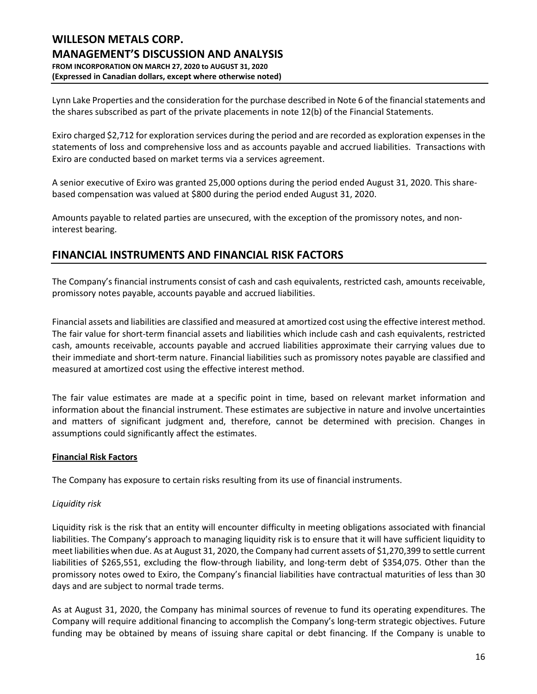Lynn Lake Properties and the consideration for the purchase described in Note 6 of the financial statements and the shares subscribed as part of the private placements in note 12(b) of the Financial Statements.

Exiro charged \$2,712 for exploration services during the period and are recorded as exploration expenses in the statements of loss and comprehensive loss and as accounts payable and accrued liabilities. Transactions with Exiro are conducted based on market terms via a services agreement.

A senior executive of Exiro was granted 25,000 options during the period ended August 31, 2020. This sharebased compensation was valued at \$800 during the period ended August 31, 2020.

Amounts payable to related parties are unsecured, with the exception of the promissory notes, and noninterest bearing.

# **FINANCIAL INSTRUMENTS AND FINANCIAL RISK FACTORS**

The Company's financial instruments consist of cash and cash equivalents, restricted cash, amounts receivable, promissory notes payable, accounts payable and accrued liabilities.

Financial assets and liabilities are classified and measured at amortized cost using the effective interest method. The fair value for short-term financial assets and liabilities which include cash and cash equivalents, restricted cash, amounts receivable, accounts payable and accrued liabilities approximate their carrying values due to their immediate and short-term nature. Financial liabilities such as promissory notes payable are classified and measured at amortized cost using the effective interest method.

The fair value estimates are made at a specific point in time, based on relevant market information and information about the financial instrument. These estimates are subjective in nature and involve uncertainties and matters of significant judgment and, therefore, cannot be determined with precision. Changes in assumptions could significantly affect the estimates.

### **Financial Risk Factors**

The Company has exposure to certain risks resulting from its use of financial instruments.

### *Liquidity risk*

Liquidity risk is the risk that an entity will encounter difficulty in meeting obligations associated with financial liabilities. The Company's approach to managing liquidity risk is to ensure that it will have sufficient liquidity to meet liabilities when due. As at August 31, 2020, the Company had current assets of \$1,270,399 to settle current liabilities of \$265,551, excluding the flow-through liability, and long-term debt of \$354,075. Other than the promissory notes owed to Exiro, the Company's financial liabilities have contractual maturities of less than 30 days and are subject to normal trade terms.

As at August 31, 2020, the Company has minimal sources of revenue to fund its operating expenditures. The Company will require additional financing to accomplish the Company's long-term strategic objectives. Future funding may be obtained by means of issuing share capital or debt financing. If the Company is unable to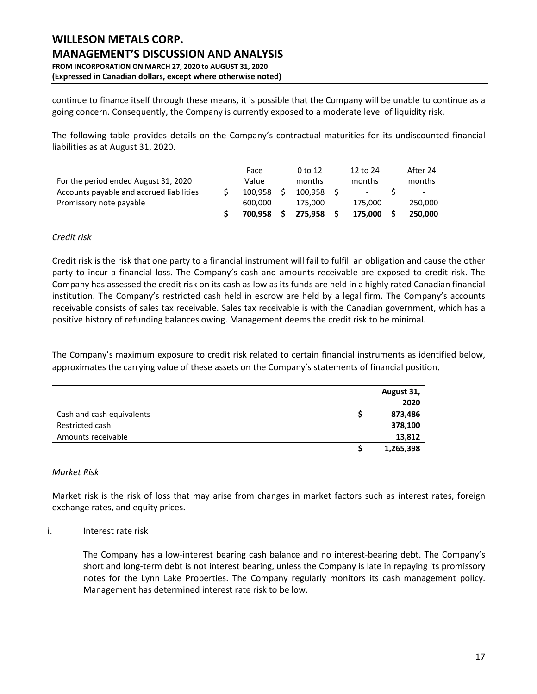continue to finance itself through these means, it is possible that the Company will be unable to continue as a going concern. Consequently, the Company is currently exposed to a moderate level of liquidity risk.

The following table provides details on the Company's contractual maturities for its undiscounted financial liabilities as at August 31, 2020.

|                                          | Face    | 0 to 12 | 12 to 24 | After 24                 |
|------------------------------------------|---------|---------|----------|--------------------------|
| For the period ended August 31, 2020     | Value   | months  | months   | months                   |
| Accounts payable and accrued liabilities | 100.958 | 100.958 |          | $\overline{\phantom{0}}$ |
| Promissory note payable                  | 600.000 | 175.000 | 175.000  | 250,000                  |
|                                          | 700.958 | 275.958 | 175,000  | 250,000                  |

### *Credit risk*

Credit risk is the risk that one party to a financial instrument will fail to fulfill an obligation and cause the other party to incur a financial loss. The Company's cash and amounts receivable are exposed to credit risk. The Company has assessed the credit risk on its cash as low as its funds are held in a highly rated Canadian financial institution. The Company's restricted cash held in escrow are held by a legal firm. The Company's accounts receivable consists of sales tax receivable. Sales tax receivable is with the Canadian government, which has a positive history of refunding balances owing. Management deems the credit risk to be minimal.

The Company's maximum exposure to credit risk related to certain financial instruments as identified below, approximates the carrying value of these assets on the Company's statements of financial position.

|                           | August 31, |
|---------------------------|------------|
|                           | 2020       |
| Cash and cash equivalents | 873,486    |
| Restricted cash           | 378,100    |
| Amounts receivable        | 13,812     |
|                           | 1,265,398  |

### *Market Risk*

Market risk is the risk of loss that may arise from changes in market factors such as interest rates, foreign exchange rates, and equity prices.

### i. Interest rate risk

The Company has a low-interest bearing cash balance and no interest-bearing debt. The Company's short and long-term debt is not interest bearing, unless the Company is late in repaying its promissory notes for the Lynn Lake Properties. The Company regularly monitors its cash management policy. Management has determined interest rate risk to be low.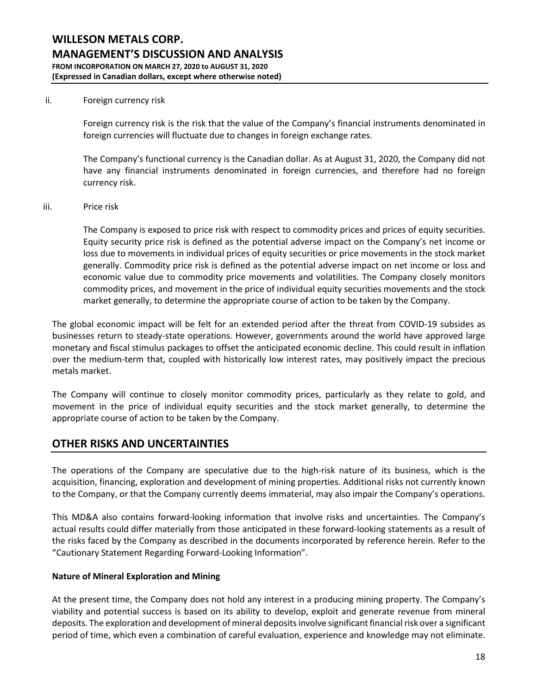#### ii. Foreign currency risk

Foreign currency risk is the risk that the value of the Company's financial instruments denominated in foreign currencies will fluctuate due to changes in foreign exchange rates.

The Company's functional currency is the Canadian dollar. As at August 31, 2020, the Company did not have any financial instruments denominated in foreign currencies, and therefore had no foreign currency risk.

#### iii. Price risk

The Company is exposed to price risk with respect to commodity prices and prices of equity securities. Equity security price risk is defined as the potential adverse impact on the Company's net income or loss due to movements in individual prices of equity securities or price movements in the stock market generally. Commodity price risk is defined as the potential adverse impact on net income or loss and economic value due to commodity price movements and volatilities. The Company closely monitors commodity prices, and movement in the price of individual equity securities movements and the stock market generally, to determine the appropriate course of action to be taken by the Company.

The global economic impact will be felt for an extended period after the threat from COVID-19 subsides as businesses return to steady-state operations. However, governments around the world have approved large monetary and fiscal stimulus packages to offset the anticipated economic decline. This could result in inflation over the medium-term that, coupled with historically low interest rates, may positively impact the precious metals market.

The Company will continue to closely monitor commodity prices, particularly as they relate to gold, and movement in the price of individual equity securities and the stock market generally, to determine the appropriate course of action to be taken by the Company.

## **OTHER RISKS AND UNCERTAINTIES**

The operations of the Company are speculative due to the high-risk nature of its business, which is the acquisition, financing, exploration and development of mining properties. Additional risks not currently known to the Company, or that the Company currently deems immaterial, may also impair the Company's operations.

This MD&A also contains forward-looking information that involve risks and uncertainties. The Company's actual results could differ materially from those anticipated in these forward-looking statements as a result of the risks faced by the Company as described in the documents incorporated by reference herein. Refer to the "Cautionary Statement Regarding Forward-Looking Information".

### **Nature of Mineral Exploration and Mining**

At the present time, the Company does not hold any interest in a producing mining property. The Company's viability and potential success is based on its ability to develop, exploit and generate revenue from mineral deposits. The exploration and development of mineral deposits involve significant financial risk over a significant period of time, which even a combination of careful evaluation, experience and knowledge may not eliminate.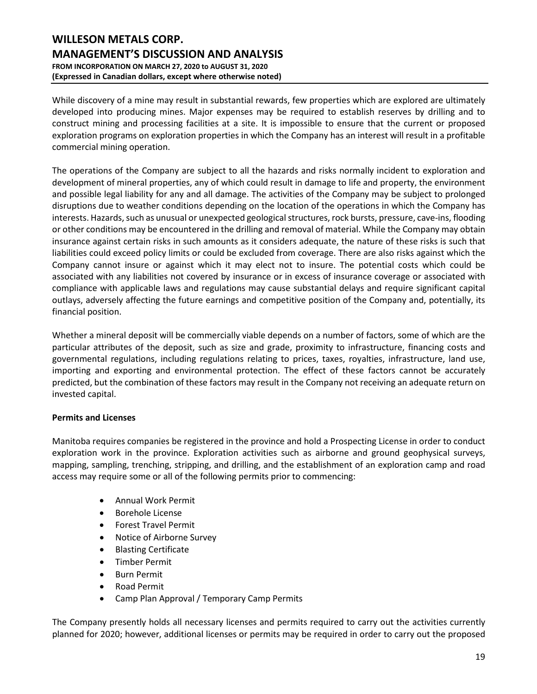While discovery of a mine may result in substantial rewards, few properties which are explored are ultimately developed into producing mines. Major expenses may be required to establish reserves by drilling and to construct mining and processing facilities at a site. It is impossible to ensure that the current or proposed exploration programs on exploration properties in which the Company has an interest will result in a profitable commercial mining operation.

The operations of the Company are subject to all the hazards and risks normally incident to exploration and development of mineral properties, any of which could result in damage to life and property, the environment and possible legal liability for any and all damage. The activities of the Company may be subject to prolonged disruptions due to weather conditions depending on the location of the operations in which the Company has interests. Hazards, such as unusual or unexpected geological structures, rock bursts, pressure, cave-ins, flooding or other conditions may be encountered in the drilling and removal of material. While the Company may obtain insurance against certain risks in such amounts as it considers adequate, the nature of these risks is such that liabilities could exceed policy limits or could be excluded from coverage. There are also risks against which the Company cannot insure or against which it may elect not to insure. The potential costs which could be associated with any liabilities not covered by insurance or in excess of insurance coverage or associated with compliance with applicable laws and regulations may cause substantial delays and require significant capital outlays, adversely affecting the future earnings and competitive position of the Company and, potentially, its financial position.

Whether a mineral deposit will be commercially viable depends on a number of factors, some of which are the particular attributes of the deposit, such as size and grade, proximity to infrastructure, financing costs and governmental regulations, including regulations relating to prices, taxes, royalties, infrastructure, land use, importing and exporting and environmental protection. The effect of these factors cannot be accurately predicted, but the combination of these factors may result in the Company not receiving an adequate return on invested capital.

### **Permits and Licenses**

Manitoba requires companies be registered in the province and hold a Prospecting License in order to conduct exploration work in the province. Exploration activities such as airborne and ground geophysical surveys, mapping, sampling, trenching, stripping, and drilling, and the establishment of an exploration camp and road access may require some or all of the following permits prior to commencing:

- Annual Work Permit
- Borehole License
- Forest Travel Permit
- Notice of Airborne Survey
- Blasting Certificate
- Timber Permit
- Burn Permit
- Road Permit
- Camp Plan Approval / Temporary Camp Permits

The Company presently holds all necessary licenses and permits required to carry out the activities currently planned for 2020; however, additional licenses or permits may be required in order to carry out the proposed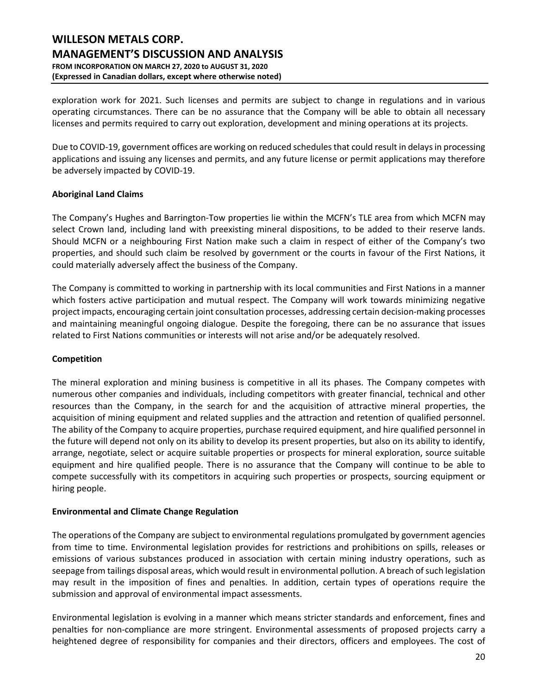exploration work for 2021. Such licenses and permits are subject to change in regulations and in various operating circumstances. There can be no assurance that the Company will be able to obtain all necessary licenses and permits required to carry out exploration, development and mining operations at its projects.

Due to COVID-19, government offices are working on reduced schedules that could result in delays in processing applications and issuing any licenses and permits, and any future license or permit applications may therefore be adversely impacted by COVID-19.

### **Aboriginal Land Claims**

The Company's Hughes and Barrington-Tow properties lie within the MCFN's TLE area from which MCFN may select Crown land, including land with preexisting mineral dispositions, to be added to their reserve lands. Should MCFN or a neighbouring First Nation make such a claim in respect of either of the Company's two properties, and should such claim be resolved by government or the courts in favour of the First Nations, it could materially adversely affect the business of the Company.

The Company is committed to working in partnership with its local communities and First Nations in a manner which fosters active participation and mutual respect. The Company will work towards minimizing negative project impacts, encouraging certain joint consultation processes, addressing certain decision-making processes and maintaining meaningful ongoing dialogue. Despite the foregoing, there can be no assurance that issues related to First Nations communities or interests will not arise and/or be adequately resolved.

### **Competition**

The mineral exploration and mining business is competitive in all its phases. The Company competes with numerous other companies and individuals, including competitors with greater financial, technical and other resources than the Company, in the search for and the acquisition of attractive mineral properties, the acquisition of mining equipment and related supplies and the attraction and retention of qualified personnel. The ability of the Company to acquire properties, purchase required equipment, and hire qualified personnel in the future will depend not only on its ability to develop its present properties, but also on its ability to identify, arrange, negotiate, select or acquire suitable properties or prospects for mineral exploration, source suitable equipment and hire qualified people. There is no assurance that the Company will continue to be able to compete successfully with its competitors in acquiring such properties or prospects, sourcing equipment or hiring people.

#### **Environmental and Climate Change Regulation**

The operations of the Company are subject to environmental regulations promulgated by government agencies from time to time. Environmental legislation provides for restrictions and prohibitions on spills, releases or emissions of various substances produced in association with certain mining industry operations, such as seepage from tailings disposal areas, which would result in environmental pollution. A breach of such legislation may result in the imposition of fines and penalties. In addition, certain types of operations require the submission and approval of environmental impact assessments.

Environmental legislation is evolving in a manner which means stricter standards and enforcement, fines and penalties for non-compliance are more stringent. Environmental assessments of proposed projects carry a heightened degree of responsibility for companies and their directors, officers and employees. The cost of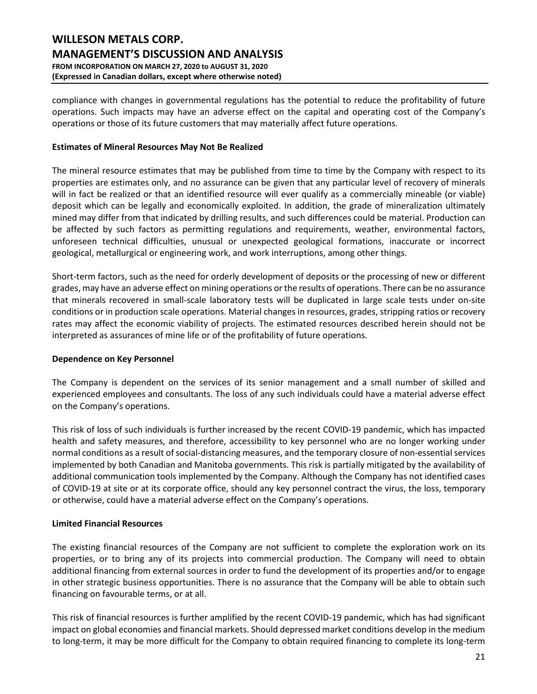compliance with changes in governmental regulations has the potential to reduce the profitability of future operations. Such impacts may have an adverse effect on the capital and operating cost of the Company's operations or those of its future customers that may materially affect future operations.

### **Estimates of Mineral Resources May Not Be Realized**

The mineral resource estimates that may be published from time to time by the Company with respect to its properties are estimates only, and no assurance can be given that any particular level of recovery of minerals will in fact be realized or that an identified resource will ever qualify as a commercially mineable (or viable) deposit which can be legally and economically exploited. In addition, the grade of mineralization ultimately mined may differ from that indicated by drilling results, and such differences could be material. Production can be affected by such factors as permitting regulations and requirements, weather, environmental factors, unforeseen technical difficulties, unusual or unexpected geological formations, inaccurate or incorrect geological, metallurgical or engineering work, and work interruptions, among other things.

Short-term factors, such as the need for orderly development of deposits or the processing of new or different grades, may have an adverse effect on mining operations or the results of operations. There can be no assurance that minerals recovered in small-scale laboratory tests will be duplicated in large scale tests under on-site conditions or in production scale operations. Material changes in resources, grades, stripping ratios or recovery rates may affect the economic viability of projects. The estimated resources described herein should not be interpreted as assurances of mine life or of the profitability of future operations.

### **Dependence on Key Personnel**

The Company is dependent on the services of its senior management and a small number of skilled and experienced employees and consultants. The loss of any such individuals could have a material adverse effect on the Company's operations.

This risk of loss of such individuals is further increased by the recent COVID-19 pandemic, which has impacted health and safety measures, and therefore, accessibility to key personnel who are no longer working under normal conditions as a result of social-distancing measures, and the temporary closure of non-essential services implemented by both Canadian and Manitoba governments. This risk is partially mitigated by the availability of additional communication tools implemented by the Company. Although the Company has not identified cases of COVID-19 at site or at its corporate office, should any key personnel contract the virus, the loss, temporary or otherwise, could have a material adverse effect on the Company's operations.

### **Limited Financial Resources**

The existing financial resources of the Company are not sufficient to complete the exploration work on its properties, or to bring any of its projects into commercial production. The Company will need to obtain additional financing from external sources in order to fund the development of its properties and/or to engage in other strategic business opportunities. There is no assurance that the Company will be able to obtain such financing on favourable terms, or at all.

This risk of financial resources is further amplified by the recent COVID-19 pandemic, which has had significant impact on global economies and financial markets. Should depressed market conditions develop in the medium to long-term, it may be more difficult for the Company to obtain required financing to complete its long-term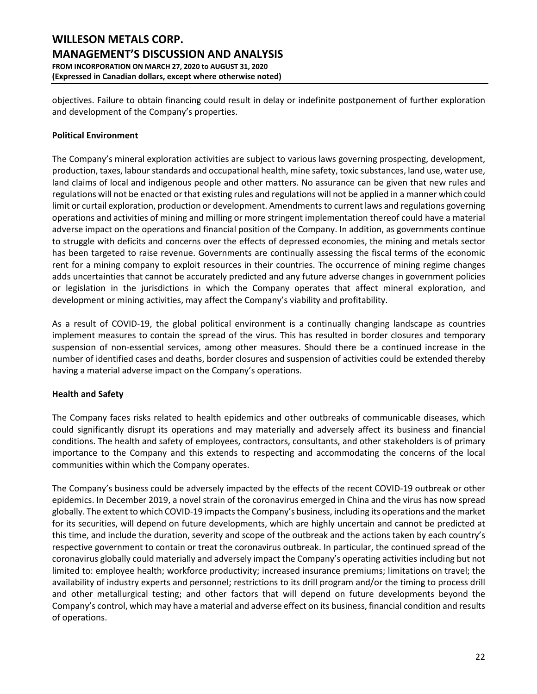objectives. Failure to obtain financing could result in delay or indefinite postponement of further exploration and development of the Company's properties.

### **Political Environment**

The Company's mineral exploration activities are subject to various laws governing prospecting, development, production, taxes, labour standards and occupational health, mine safety, toxic substances, land use, water use, land claims of local and indigenous people and other matters. No assurance can be given that new rules and regulations will not be enacted or that existing rules and regulations will not be applied in a manner which could limit or curtail exploration, production or development. Amendments to current laws and regulations governing operations and activities of mining and milling or more stringent implementation thereof could have a material adverse impact on the operations and financial position of the Company. In addition, as governments continue to struggle with deficits and concerns over the effects of depressed economies, the mining and metals sector has been targeted to raise revenue. Governments are continually assessing the fiscal terms of the economic rent for a mining company to exploit resources in their countries. The occurrence of mining regime changes adds uncertainties that cannot be accurately predicted and any future adverse changes in government policies or legislation in the jurisdictions in which the Company operates that affect mineral exploration, and development or mining activities, may affect the Company's viability and profitability.

As a result of COVID-19, the global political environment is a continually changing landscape as countries implement measures to contain the spread of the virus. This has resulted in border closures and temporary suspension of non-essential services, among other measures. Should there be a continued increase in the number of identified cases and deaths, border closures and suspension of activities could be extended thereby having a material adverse impact on the Company's operations.

### **Health and Safety**

The Company faces risks related to health epidemics and other outbreaks of communicable diseases, which could significantly disrupt its operations and may materially and adversely affect its business and financial conditions. The health and safety of employees, contractors, consultants, and other stakeholders is of primary importance to the Company and this extends to respecting and accommodating the concerns of the local communities within which the Company operates.

The Company's business could be adversely impacted by the effects of the recent COVID-19 outbreak or other epidemics. In December 2019, a novel strain of the coronavirus emerged in China and the virus has now spread globally. The extent to which COVID-19 impacts the Company's business, including its operations and the market for its securities, will depend on future developments, which are highly uncertain and cannot be predicted at this time, and include the duration, severity and scope of the outbreak and the actions taken by each country's respective government to contain or treat the coronavirus outbreak. In particular, the continued spread of the coronavirus globally could materially and adversely impact the Company's operating activities including but not limited to: employee health; workforce productivity; increased insurance premiums; limitations on travel; the availability of industry experts and personnel; restrictions to its drill program and/or the timing to process drill and other metallurgical testing; and other factors that will depend on future developments beyond the Company's control, which may have a material and adverse effect on its business, financial condition and results of operations.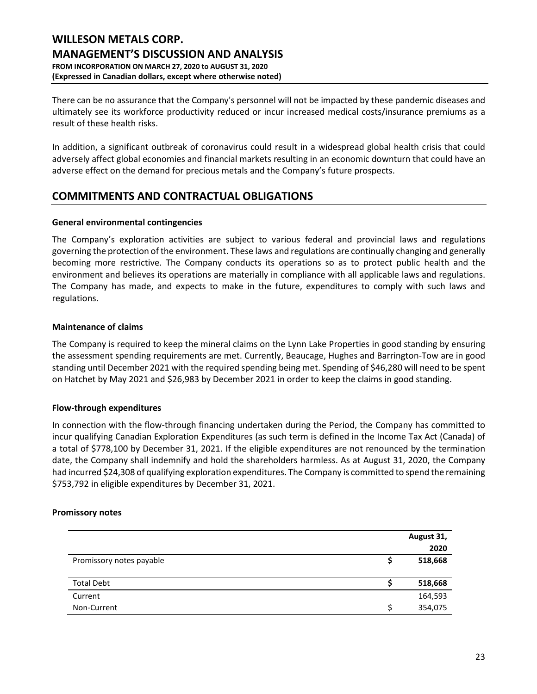There can be no assurance that the Company's personnel will not be impacted by these pandemic diseases and ultimately see its workforce productivity reduced or incur increased medical costs/insurance premiums as a result of these health risks.

In addition, a significant outbreak of coronavirus could result in a widespread global health crisis that could adversely affect global economies and financial markets resulting in an economic downturn that could have an adverse effect on the demand for precious metals and the Company's future prospects.

# **COMMITMENTS AND CONTRACTUAL OBLIGATIONS**

### **General environmental contingencies**

The Company's exploration activities are subject to various federal and provincial laws and regulations governing the protection of the environment. These laws and regulations are continually changing and generally becoming more restrictive. The Company conducts its operations so as to protect public health and the environment and believes its operations are materially in compliance with all applicable laws and regulations. The Company has made, and expects to make in the future, expenditures to comply with such laws and regulations.

### **Maintenance of claims**

The Company is required to keep the mineral claims on the Lynn Lake Properties in good standing by ensuring the assessment spending requirements are met. Currently, Beaucage, Hughes and Barrington-Tow are in good standing until December 2021 with the required spending being met. Spending of \$46,280 will need to be spent on Hatchet by May 2021 and \$26,983 by December 2021 in order to keep the claims in good standing.

### **Flow-through expenditures**

In connection with the flow-through financing undertaken during the Period, the Company has committed to incur qualifying Canadian Exploration Expenditures (as such term is defined in the Income Tax Act (Canada) of a total of \$778,100 by December 31, 2021. If the eligible expenditures are not renounced by the termination date, the Company shall indemnify and hold the shareholders harmless. As at August 31, 2020, the Company had incurred \$24,308 of qualifying exploration expenditures. The Company is committed to spend the remaining \$753,792 in eligible expenditures by December 31, 2021.

### **Promissory notes**

|                          | August 31, |
|--------------------------|------------|
|                          | 2020       |
| Promissory notes payable | 518,668    |
|                          |            |
| <b>Total Debt</b>        | 518,668    |
| Current                  | 164,593    |
| Non-Current              | 354,075    |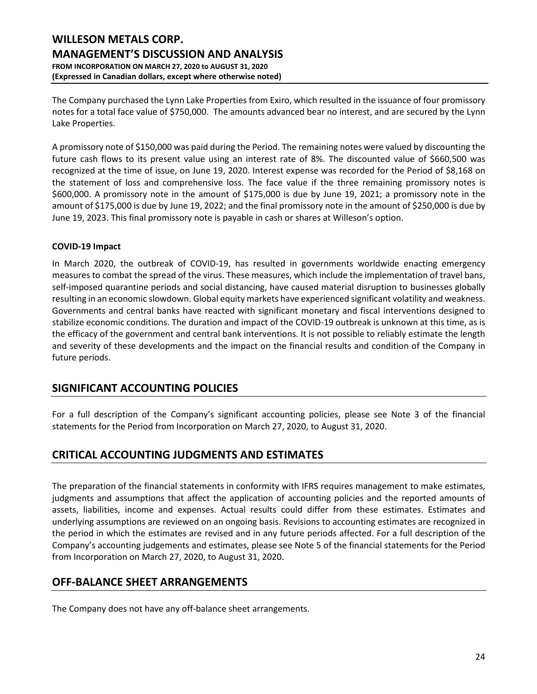The Company purchased the Lynn Lake Properties from Exiro, which resulted in the issuance of four promissory notes for a total face value of \$750,000. The amounts advanced bear no interest, and are secured by the Lynn Lake Properties.

A promissory note of \$150,000 was paid during the Period. The remaining notes were valued by discounting the future cash flows to its present value using an interest rate of 8%. The discounted value of \$660,500 was recognized at the time of issue, on June 19, 2020. Interest expense was recorded for the Period of \$8,168 on the statement of loss and comprehensive loss. The face value if the three remaining promissory notes is \$600,000. A promissory note in the amount of \$175,000 is due by June 19, 2021; a promissory note in the amount of \$175,000 is due by June 19, 2022; and the final promissory note in the amount of \$250,000 is due by June 19, 2023. This final promissory note is payable in cash or shares at Willeson's option.

### **COVID-19 Impact**

In March 2020, the outbreak of COVID-19, has resulted in governments worldwide enacting emergency measures to combat the spread of the virus. These measures, which include the implementation of travel bans, self-imposed quarantine periods and social distancing, have caused material disruption to businesses globally resulting in an economic slowdown. Global equity markets have experienced significant volatility and weakness. Governments and central banks have reacted with significant monetary and fiscal interventions designed to stabilize economic conditions. The duration and impact of the COVID-19 outbreak is unknown at this time, as is the efficacy of the government and central bank interventions. It is not possible to reliably estimate the length and severity of these developments and the impact on the financial results and condition of the Company in future periods.

# **SIGNIFICANT ACCOUNTING POLICIES**

For a full description of the Company's significant accounting policies, please see Note 3 of the financial statements for the Period from Incorporation on March 27, 2020, to August 31, 2020.

# **CRITICAL ACCOUNTING JUDGMENTS AND ESTIMATES**

The preparation of the financial statements in conformity with IFRS requires management to make estimates, judgments and assumptions that affect the application of accounting policies and the reported amounts of assets, liabilities, income and expenses. Actual results could differ from these estimates. Estimates and underlying assumptions are reviewed on an ongoing basis. Revisions to accounting estimates are recognized in the period in which the estimates are revised and in any future periods affected. For a full description of the Company's accounting judgements and estimates, please see Note 5 of the financial statements for the Period from Incorporation on March 27, 2020, to August 31, 2020.

# **OFF-BALANCE SHEET ARRANGEMENTS**

The Company does not have any off-balance sheet arrangements.